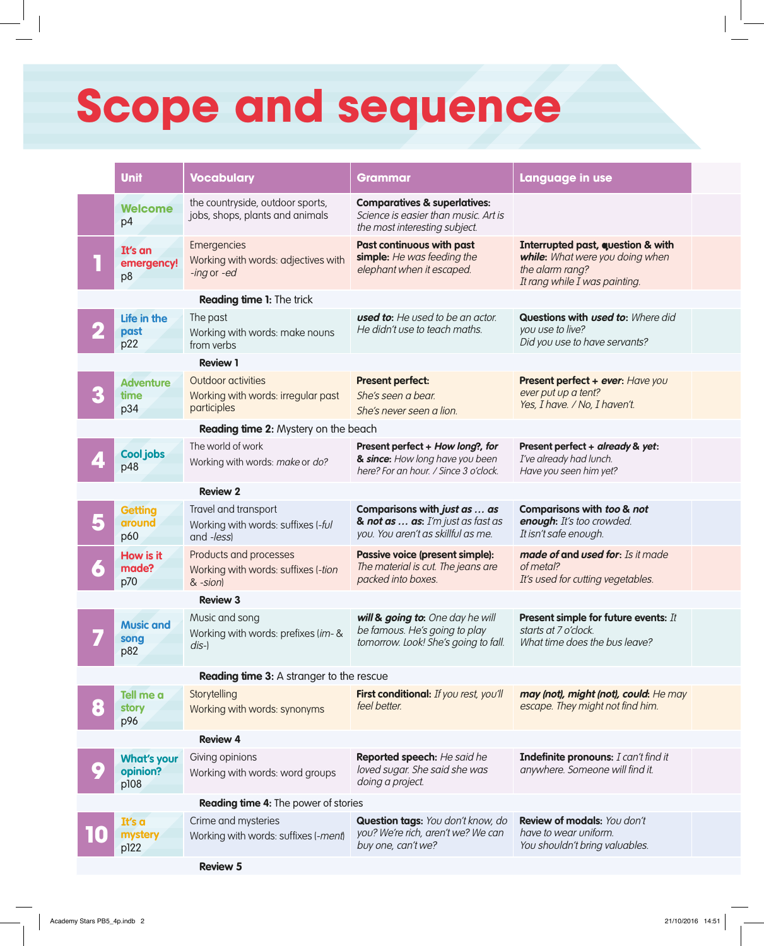## **Scope and sequence**

|                                          | <b>Unit</b>                                 | <b>Vocabulary</b>                                                           | <b>Grammar</b>                                                                                                   | Language in use                                                                                                          |  |  |  |  |  |  |
|------------------------------------------|---------------------------------------------|-----------------------------------------------------------------------------|------------------------------------------------------------------------------------------------------------------|--------------------------------------------------------------------------------------------------------------------------|--|--|--|--|--|--|
|                                          | Welcome<br>p4                               | the countryside, outdoor sports,<br>jobs, shops, plants and animals         | <b>Comparatives &amp; superlatives:</b><br>Science is easier than music. Art is<br>the most interesting subject. |                                                                                                                          |  |  |  |  |  |  |
|                                          | It's an<br>emergency!<br>p8                 | Emergencies<br>Working with words: adjectives with<br>-ing or -ed           | <b>Past continuous with past</b><br>simple: He was feeding the<br>elephant when it escaped.                      | Interrupted past, question & with<br>while: What were you doing when<br>the alarm rang?<br>It rang while I was painting. |  |  |  |  |  |  |
|                                          | <b>Reading time 1: The trick</b>            |                                                                             |                                                                                                                  |                                                                                                                          |  |  |  |  |  |  |
|                                          | Life in the<br>past<br>p22                  | The past<br>Working with words: make nouns<br>from verbs                    | <b>used to:</b> He used to be an actor.<br>He didn't use to teach maths.                                         | Questions with used to: Where did<br>you use to live?<br>Did you use to have servants?                                   |  |  |  |  |  |  |
|                                          |                                             | <b>Review 1</b>                                                             |                                                                                                                  |                                                                                                                          |  |  |  |  |  |  |
|                                          | <b>Adventure</b><br>time<br>p34             | Outdoor activities<br>Working with words: irregular past<br>participles     | <b>Present perfect:</b><br>She's seen a bear.<br>She's never seen a lion.                                        | Present perfect + ever: Have you<br>ever put up a tent?<br>Yes, I have. / No, I haven't.                                 |  |  |  |  |  |  |
|                                          | Reading time 2: Mystery on the beach        |                                                                             |                                                                                                                  |                                                                                                                          |  |  |  |  |  |  |
|                                          | <b>Cool jobs</b><br>p48                     | The world of work<br>Working with words: make or do?                        | Present perfect + How long?, for<br>& since: How long have you been<br>here? For an hour. / Since 3 o'clock.     | Present perfect + already & yet:<br>I've already had lunch.<br>Have you seen him yet?                                    |  |  |  |  |  |  |
|                                          |                                             | <b>Review 2</b>                                                             |                                                                                                                  |                                                                                                                          |  |  |  |  |  |  |
|                                          | <b>Getting</b><br>around<br>p60             | Travel and transport<br>Working with words: suffixes (-ful<br>and -less)    | Comparisons with just as  as<br>& not as $\ldots$ as: I'm just as fast as<br>you. You aren't as skillful as me.  | Comparisons with too & not<br>enough: It's too crowded.<br>It isn't safe enough.                                         |  |  |  |  |  |  |
|                                          | <b>How is it</b><br>made?<br>p70            | Products and processes<br>Working with words: suffixes (-tion<br>$& -sion)$ | Passive voice (present simple):<br>The material is cut. The jeans are<br>packed into boxes.                      | made of and used for: Is it made<br>of metal?<br>It's used for cutting vegetables.                                       |  |  |  |  |  |  |
|                                          |                                             | <b>Review 3</b>                                                             |                                                                                                                  |                                                                                                                          |  |  |  |  |  |  |
|                                          | <b>Music and</b><br>song<br>p82             | Music and song<br>Working with words: prefixes (im- &<br>$dis-$             | will & going to: One day he will<br>be famous. He's going to play<br>tomorrow. Look! She's going to fall.        | Present simple for future events: It<br>starts at 7 o'clock.<br>What time does the bus leave?                            |  |  |  |  |  |  |
| Reading time 3: A stranger to the rescue |                                             |                                                                             |                                                                                                                  |                                                                                                                          |  |  |  |  |  |  |
|                                          | Tell me a<br><b>story</b><br>p96            | Storytelling<br>Working with words: synonyms                                | First conditional: If you rest, you'll<br>feel better.                                                           | may (not), might (not), could: He may<br>escape. They might not find him.                                                |  |  |  |  |  |  |
|                                          |                                             | <b>Review 4</b>                                                             |                                                                                                                  |                                                                                                                          |  |  |  |  |  |  |
| $\bullet$                                | <b>What's your</b><br>opinion?<br>p108      | Giving opinions<br>Working with words: word groups                          | Reported speech: He said he<br>loved sugar. She said she was<br>doing a project.                                 | Indefinite pronouns: I can't find it<br>anywhere. Someone will find it.                                                  |  |  |  |  |  |  |
|                                          | <b>Reading time 4:</b> The power of stories |                                                                             |                                                                                                                  |                                                                                                                          |  |  |  |  |  |  |
|                                          | It's a<br>mystery<br>p122                   | Crime and mysteries<br>Working with words: suffixes (-ment)                 | Question tags: You don't know, do<br>you? We're rich, aren't we? We can<br>buy one, can't we?                    | Review of modals: You don't<br>have to wear uniform.<br>You shouldn't bring valuables.                                   |  |  |  |  |  |  |
|                                          |                                             | <b>Review 5</b>                                                             |                                                                                                                  |                                                                                                                          |  |  |  |  |  |  |